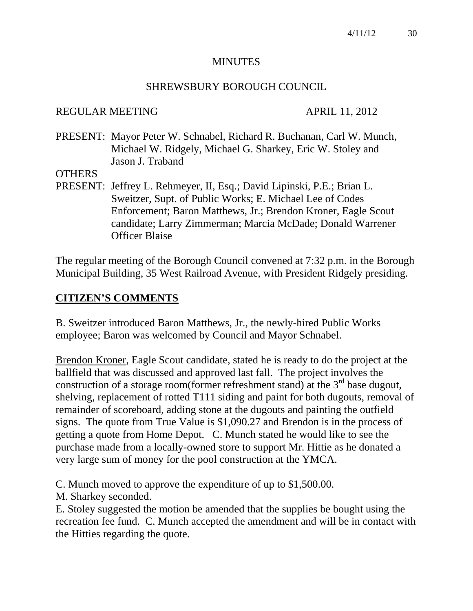#### **MINUTES**

#### SHREWSBURY BOROUGH COUNCIL

#### REGULAR MEETING APRIL 11, 2012

PRESENT: Mayor Peter W. Schnabel, Richard R. Buchanan, Carl W. Munch, Michael W. Ridgely, Michael G. Sharkey, Eric W. Stoley and Jason J. Traband

**OTHERS** 

PRESENT: Jeffrey L. Rehmeyer, II, Esq.; David Lipinski, P.E.; Brian L. Sweitzer, Supt. of Public Works; E. Michael Lee of Codes Enforcement; Baron Matthews, Jr.; Brendon Kroner, Eagle Scout candidate; Larry Zimmerman; Marcia McDade; Donald Warrener Officer Blaise

The regular meeting of the Borough Council convened at 7:32 p.m. in the Borough Municipal Building, 35 West Railroad Avenue, with President Ridgely presiding.

## **CITIZEN'S COMMENTS**

B. Sweitzer introduced Baron Matthews, Jr., the newly-hired Public Works employee; Baron was welcomed by Council and Mayor Schnabel.

Brendon Kroner, Eagle Scout candidate, stated he is ready to do the project at the ballfield that was discussed and approved last fall. The project involves the construction of a storage room(former refreshment stand) at the  $3<sup>rd</sup>$  base dugout, shelving, replacement of rotted T111 siding and paint for both dugouts, removal of remainder of scoreboard, adding stone at the dugouts and painting the outfield signs. The quote from True Value is \$1,090.27 and Brendon is in the process of getting a quote from Home Depot. C. Munch stated he would like to see the purchase made from a locally-owned store to support Mr. Hittie as he donated a very large sum of money for the pool construction at the YMCA.

C. Munch moved to approve the expenditure of up to \$1,500.00.

M. Sharkey seconded.

E. Stoley suggested the motion be amended that the supplies be bought using the recreation fee fund. C. Munch accepted the amendment and will be in contact with the Hitties regarding the quote.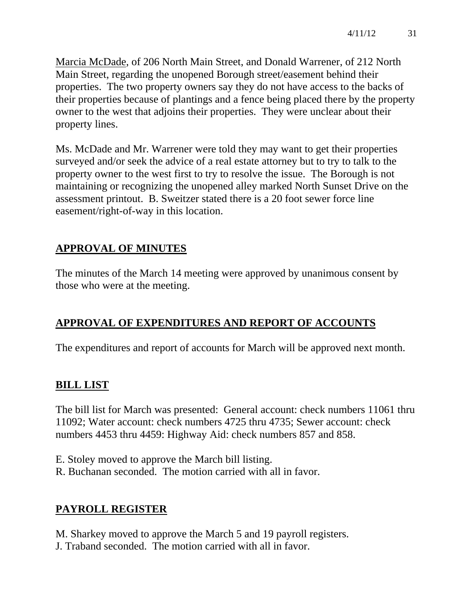Marcia McDade, of 206 North Main Street, and Donald Warrener, of 212 North Main Street, regarding the unopened Borough street/easement behind their properties. The two property owners say they do not have access to the backs of their properties because of plantings and a fence being placed there by the property owner to the west that adjoins their properties. They were unclear about their property lines.

Ms. McDade and Mr. Warrener were told they may want to get their properties surveyed and/or seek the advice of a real estate attorney but to try to talk to the property owner to the west first to try to resolve the issue. The Borough is not maintaining or recognizing the unopened alley marked North Sunset Drive on the assessment printout. B. Sweitzer stated there is a 20 foot sewer force line easement/right-of-way in this location.

# **APPROVAL OF MINUTES**

The minutes of the March 14 meeting were approved by unanimous consent by those who were at the meeting.

# **APPROVAL OF EXPENDITURES AND REPORT OF ACCOUNTS**

The expenditures and report of accounts for March will be approved next month.

# **BILL LIST**

The bill list for March was presented: General account: check numbers 11061 thru 11092; Water account: check numbers 4725 thru 4735; Sewer account: check numbers 4453 thru 4459: Highway Aid: check numbers 857 and 858.

E. Stoley moved to approve the March bill listing. R. Buchanan seconded. The motion carried with all in favor.

# **PAYROLL REGISTER**

M. Sharkey moved to approve the March 5 and 19 payroll registers. J. Traband seconded. The motion carried with all in favor.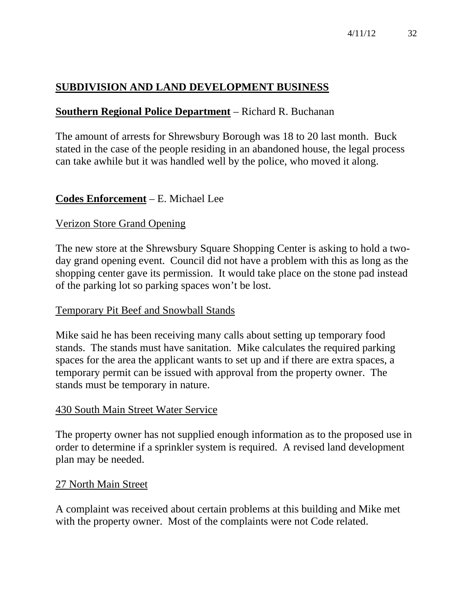# **SUBDIVISION AND LAND DEVELOPMENT BUSINESS**

# **Southern Regional Police Department** – Richard R. Buchanan

The amount of arrests for Shrewsbury Borough was 18 to 20 last month. Buck stated in the case of the people residing in an abandoned house, the legal process can take awhile but it was handled well by the police, who moved it along.

## **Codes Enforcement** – E. Michael Lee

#### Verizon Store Grand Opening

The new store at the Shrewsbury Square Shopping Center is asking to hold a twoday grand opening event. Council did not have a problem with this as long as the shopping center gave its permission. It would take place on the stone pad instead of the parking lot so parking spaces won't be lost.

#### Temporary Pit Beef and Snowball Stands

Mike said he has been receiving many calls about setting up temporary food stands. The stands must have sanitation. Mike calculates the required parking spaces for the area the applicant wants to set up and if there are extra spaces, a temporary permit can be issued with approval from the property owner. The stands must be temporary in nature.

#### 430 South Main Street Water Service

The property owner has not supplied enough information as to the proposed use in order to determine if a sprinkler system is required. A revised land development plan may be needed.

#### 27 North Main Street

A complaint was received about certain problems at this building and Mike met with the property owner. Most of the complaints were not Code related.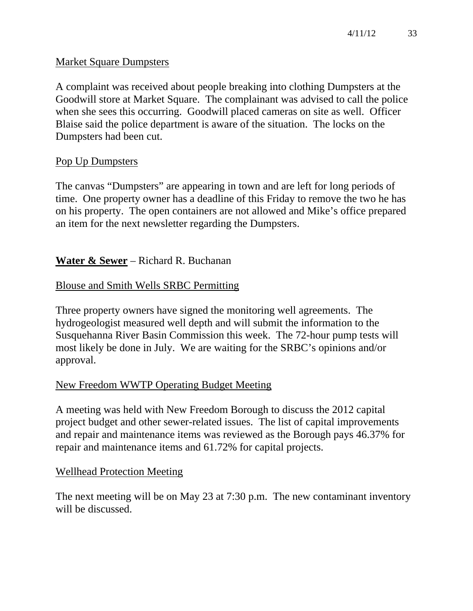## Market Square Dumpsters

A complaint was received about people breaking into clothing Dumpsters at the Goodwill store at Market Square. The complainant was advised to call the police when she sees this occurring. Goodwill placed cameras on site as well. Officer Blaise said the police department is aware of the situation. The locks on the Dumpsters had been cut.

## Pop Up Dumpsters

The canvas "Dumpsters" are appearing in town and are left for long periods of time. One property owner has a deadline of this Friday to remove the two he has on his property. The open containers are not allowed and Mike's office prepared an item for the next newsletter regarding the Dumpsters.

## **Water & Sewer** – Richard R. Buchanan

## Blouse and Smith Wells SRBC Permitting

Three property owners have signed the monitoring well agreements. The hydrogeologist measured well depth and will submit the information to the Susquehanna River Basin Commission this week. The 72-hour pump tests will most likely be done in July. We are waiting for the SRBC's opinions and/or approval.

## New Freedom WWTP Operating Budget Meeting

A meeting was held with New Freedom Borough to discuss the 2012 capital project budget and other sewer-related issues. The list of capital improvements and repair and maintenance items was reviewed as the Borough pays 46.37% for repair and maintenance items and 61.72% for capital projects.

## Wellhead Protection Meeting

The next meeting will be on May 23 at 7:30 p.m. The new contaminant inventory will be discussed.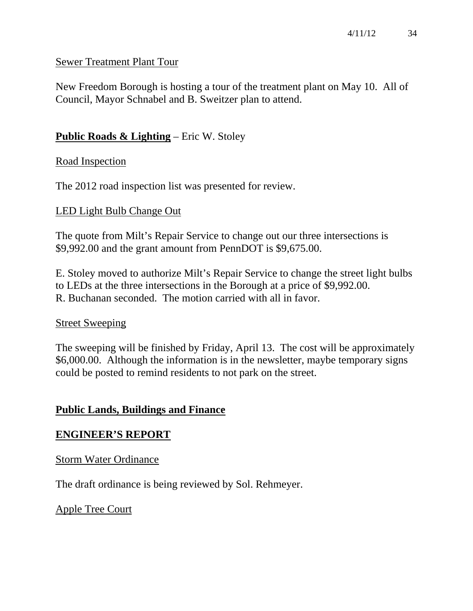## Sewer Treatment Plant Tour

New Freedom Borough is hosting a tour of the treatment plant on May 10. All of Council, Mayor Schnabel and B. Sweitzer plan to attend.

## **Public Roads & Lighting** – Eric W. Stoley

## Road Inspection

The 2012 road inspection list was presented for review.

## LED Light Bulb Change Out

The quote from Milt's Repair Service to change out our three intersections is \$9,992.00 and the grant amount from PennDOT is \$9,675.00.

E. Stoley moved to authorize Milt's Repair Service to change the street light bulbs to LEDs at the three intersections in the Borough at a price of \$9,992.00. R. Buchanan seconded. The motion carried with all in favor.

## Street Sweeping

The sweeping will be finished by Friday, April 13. The cost will be approximately \$6,000.00. Although the information is in the newsletter, maybe temporary signs could be posted to remind residents to not park on the street.

## **Public Lands, Buildings and Finance**

## **ENGINEER'S REPORT**

Storm Water Ordinance

The draft ordinance is being reviewed by Sol. Rehmeyer.

## Apple Tree Court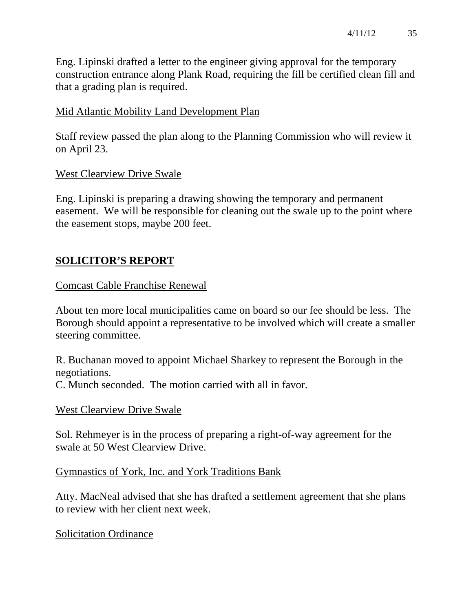Eng. Lipinski drafted a letter to the engineer giving approval for the temporary construction entrance along Plank Road, requiring the fill be certified clean fill and that a grading plan is required.

## Mid Atlantic Mobility Land Development Plan

Staff review passed the plan along to the Planning Commission who will review it on April 23.

## West Clearview Drive Swale

Eng. Lipinski is preparing a drawing showing the temporary and permanent easement. We will be responsible for cleaning out the swale up to the point where the easement stops, maybe 200 feet.

# **SOLICITOR'S REPORT**

## Comcast Cable Franchise Renewal

About ten more local municipalities came on board so our fee should be less. The Borough should appoint a representative to be involved which will create a smaller steering committee.

R. Buchanan moved to appoint Michael Sharkey to represent the Borough in the negotiations.

C. Munch seconded. The motion carried with all in favor.

## West Clearview Drive Swale

Sol. Rehmeyer is in the process of preparing a right-of-way agreement for the swale at 50 West Clearview Drive.

Gymnastics of York, Inc. and York Traditions Bank

Atty. MacNeal advised that she has drafted a settlement agreement that she plans to review with her client next week.

# Solicitation Ordinance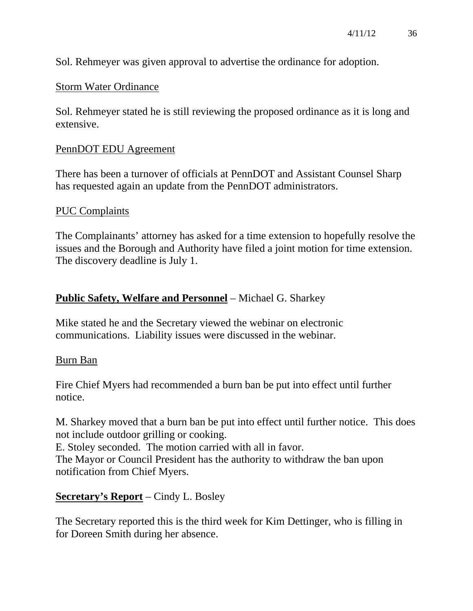Sol. Rehmeyer was given approval to advertise the ordinance for adoption.

#### Storm Water Ordinance

Sol. Rehmeyer stated he is still reviewing the proposed ordinance as it is long and extensive.

#### PennDOT EDU Agreement

There has been a turnover of officials at PennDOT and Assistant Counsel Sharp has requested again an update from the PennDOT administrators.

#### PUC Complaints

The Complainants' attorney has asked for a time extension to hopefully resolve the issues and the Borough and Authority have filed a joint motion for time extension. The discovery deadline is July 1.

## **Public Safety, Welfare and Personnel** – Michael G. Sharkey

Mike stated he and the Secretary viewed the webinar on electronic communications. Liability issues were discussed in the webinar.

#### Burn Ban

Fire Chief Myers had recommended a burn ban be put into effect until further notice.

M. Sharkey moved that a burn ban be put into effect until further notice. This does not include outdoor grilling or cooking.

E. Stoley seconded. The motion carried with all in favor.

The Mayor or Council President has the authority to withdraw the ban upon notification from Chief Myers.

## **Secretary's Report** – Cindy L. Bosley

The Secretary reported this is the third week for Kim Dettinger, who is filling in for Doreen Smith during her absence.